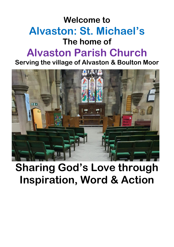## **Welcome to Alvaston: St. Michael's The home of Alvaston Parish Church**

**Serving the village of Alvaston & Boulton Moor**



## **Sharing God's Love through Inspiration, Word & Action**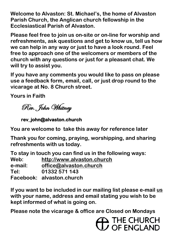**Welcome to Alvaston: St. Michael's, the home of Alvaston Parish Church, the Anglican church fellowship in the Ecclesiastical Parish of Alvaston.** 

**Please feel free to join us on-site or on-line for worship and refreshments, ask questions and get to know us, tell us how we can help in any way or just to have a look round. Feel free to approach one of the welcomers or members of the church with any questions or just for a pleasant chat. We will try to assist you.**

**If you have any comments you would like to pass on please use a feedback form, email, call, or just drop round to the vicarage at No. 8 Church street.**

**Yours in Faith**

Rev. John Whitney

**rev\_john@alvaston.church** 

**You are welcome to take this away for reference later**

**Thank you for coming, praying, worshipping, and sharing refreshments with us today.**

**To stay in touch you can find us in the following ways: Web: [http://www.alvaston.church](http://www.alvaston.church/) e-mail: [office@alvaston.church](mailto:office@alvaston.church) Tel: 01332 571 143 Facebook: alvaston.church**

**If you want to be included in our mailing list please e-mail [us](mailto:office@alvaston.church) with your name, address and email stating you wish to be kept informed of what is going on.** 

**Please note the vicarage & office are Closed on Mondays**

**THE CHURCH**<br>JU OF ENGLAND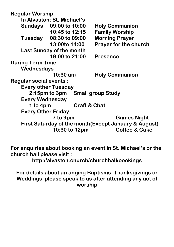**Regular Worship:**

**In Alvaston: St. Michael's Sundays 09:00 to 10:00 Holy Communion 10:45 to 12:15 Family Worship Tuesday 08:30 to 09:00 Morning Prayer 13:00to 14:00 Prayer for the church Last Sunday of the month 19:00 to 21:00 Presence During Term Time Wednesdays 10:30 am Holy Communion Regular social events : Every other Tuesday 2:15pm to 3pm Small group Study Every Wednesday 1 to 4pm Craft & Chat Every Other Friday 7 to 9pm Games Night First Saturday of the month(Except January & August) 10:30 to 12pm Coffee & Cake**

**For enquiries about booking an event in St. Michael's or the church hall please visit :**

**<http://alvaston.church/churchhall/bookings>**

**For details about arranging Baptisms, Thanksgivings or Weddings please speak to us after attending any act of worship**